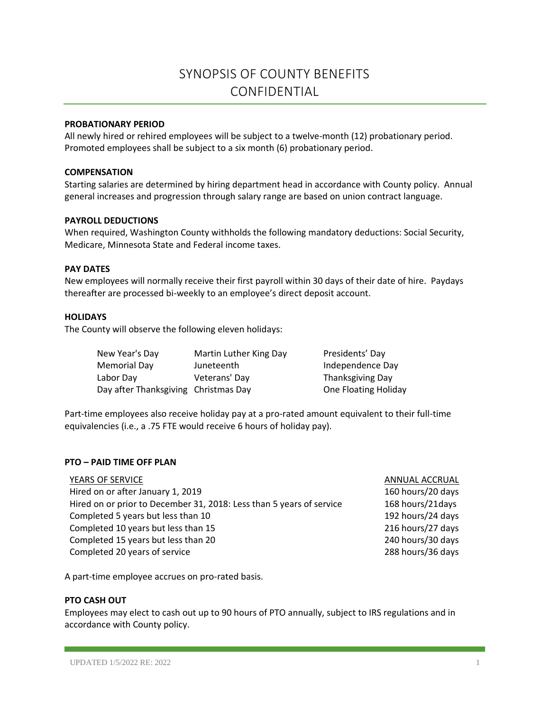# SYNOPSIS OF COUNTY BENEFITS CONFIDENTIAL

## **PROBATIONARY PERIOD**

All newly hired or rehired employees will be subject to a twelve-month (12) probationary period. Promoted employees shall be subject to a six month (6) probationary period.

#### **COMPENSATION**

Starting salaries are determined by hiring department head in accordance with County policy. Annual general increases and progression through salary range are based on union contract language.

### **PAYROLL DEDUCTIONS**

When required, Washington County withholds the following mandatory deductions: Social Security, Medicare, Minnesota State and Federal income taxes.

### **PAY DATES**

New employees will normally receive their first payroll within 30 days of their date of hire. Paydays thereafter are processed bi-weekly to an employee's direct deposit account.

## **HOLIDAYS**

The County will observe the following eleven holidays:

| New Year's Day                       | Martin Luther King Day | Presidents' Day      |
|--------------------------------------|------------------------|----------------------|
| Memorial Day                         | Juneteenth             | Independence Day     |
| Labor Day                            | Veterans' Day          | Thanksgiving Day     |
| Day after Thanksgiving Christmas Day |                        | One Floating Holiday |

Part-time employees also receive holiday pay at a pro-rated amount equivalent to their full-time equivalencies (i.e., a .75 FTE would receive 6 hours of holiday pay).

#### **PTO – PAID TIME OFF PLAN**

| YEARS OF SERVICE                                                     |  |
|----------------------------------------------------------------------|--|
| Hired on or after January 1, 2019                                    |  |
| Hired on or prior to December 31, 2018: Less than 5 years of service |  |
| Completed 5 years but less than 10                                   |  |
| Completed 10 years but less than 15                                  |  |
| Completed 15 years but less than 20                                  |  |
| Completed 20 years of service                                        |  |

ANNUAL ACCRUAL 160 hours/20 days 168 hours/21days 192 hours/24 days 216 hours/27 days 240 hours/30 days 288 hours/36 days

A part-time employee accrues on pro-rated basis.

# **PTO CASH OUT**

Employees may elect to cash out up to 90 hours of PTO annually, subject to IRS regulations and in accordance with County policy.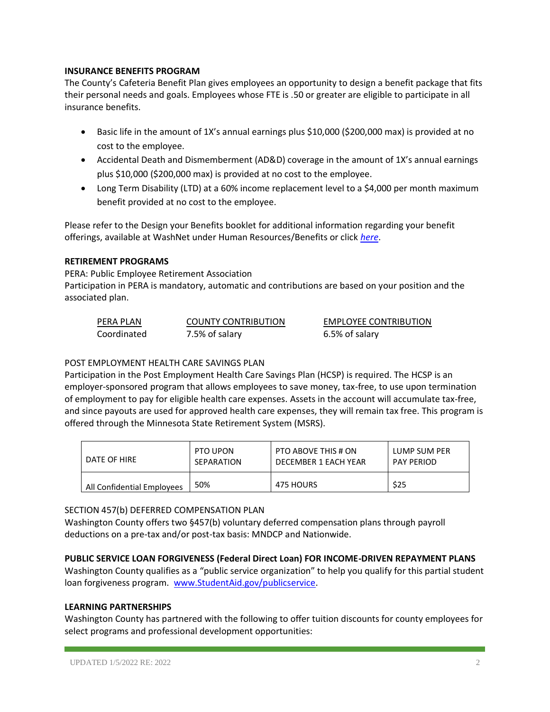# **INSURANCE BENEFITS PROGRAM**

The County's Cafeteria Benefit Plan gives employees an opportunity to design a benefit package that fits their personal needs and goals. Employees whose FTE is .50 or greater are eligible to participate in all insurance benefits.

- Basic life in the amount of 1X's annual earnings plus \$10,000 (\$200,000 max) is provided at no cost to the employee.
- Accidental Death and Dismemberment (AD&D) coverage in the amount of 1X's annual earnings plus \$10,000 (\$200,000 max) is provided at no cost to the employee.
- Long Term Disability (LTD) at a 60% income replacement level to a \$4,000 per month maximum benefit provided at no cost to the employee.

Please refer to the Design your Benefits booklet for additional information regarding your benefit offerings, available at WashNet under Human Resources/Benefits or click *[here](https://washnet.co.washington.mn.us/depts/hr/benefits2/Shared%20Documents/CurrentBenefitBook.pdf?csf=1&e=CmQiSr)*.

### **RETIREMENT PROGRAMS**

PERA: Public Employee Retirement Association

Participation in PERA is mandatory, automatic and contributions are based on your position and the associated plan.

| PERA PLAN   | <b>COUNTY CONTRIBUTION</b> | <b>EMPLOYEE CONTRIBUTION</b> |
|-------------|----------------------------|------------------------------|
| Coordinated | 7.5% of salary             | 6.5% of salary               |

# POST EMPLOYMENT HEALTH CARE SAVINGS PLAN

Participation in the Post Employment Health Care Savings Plan (HCSP) is required. The HCSP is an employer-sponsored program that allows employees to save money, tax-free, to use upon termination of employment to pay for eligible health care expenses. Assets in the account will accumulate tax-free, and since payouts are used for approved health care expenses, they will remain tax free. This program is offered through the Minnesota State Retirement System (MSRS).

| DATE OF HIRE               | PTO UPON   | PTO ABOVE THIS # ON  | LUMP SUM PER      |
|----------------------------|------------|----------------------|-------------------|
|                            | SEPARATION | DECEMBER 1 EACH YEAR | <b>PAY PERIOD</b> |
| All Confidential Employees | 50%        | 475 HOURS            | \$25              |

# SECTION 457(b) DEFERRED COMPENSATION PLAN

Washington County offers two §457(b) voluntary deferred compensation plans through payroll deductions on a pre-tax and/or post-tax basis: MNDCP and Nationwide.

# **PUBLIC SERVICE LOAN FORGIVENESS (Federal Direct Loan) FOR INCOME-DRIVEN REPAYMENT PLANS**

Washington County qualifies as a "public service organization" to help you qualify for this partial student loan forgiveness program. [www.StudentAid.gov/publicservice.](http://www.studentaid.gov/publicservice)

#### **LEARNING PARTNERSHIPS**

Washington County has partnered with the following to offer tuition discounts for county employees for select programs and professional development opportunities: